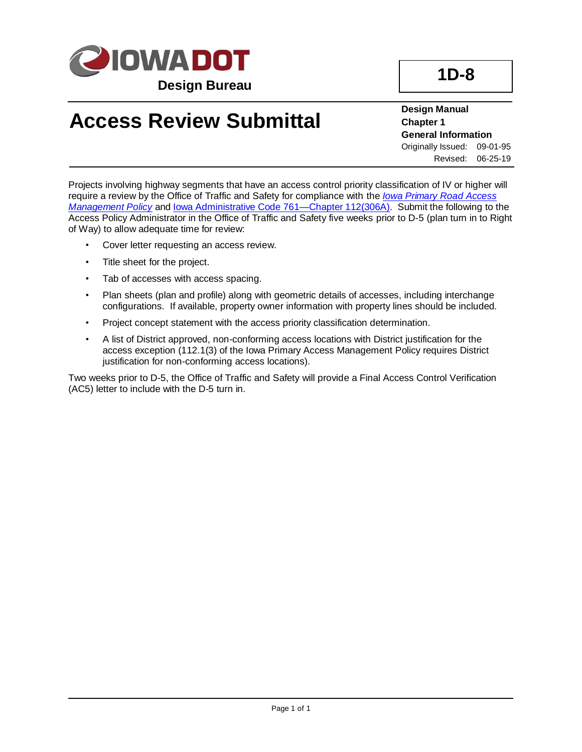

**Design Manual Chapter 1 General Information** Originally Issued: 09-01-95 Revised: 06-25-19

Projects involving highway segments that have an access control priority classification of IV or higher will require a review by the Office of Traffic and Safety for compliance with the *[Iowa Primary Road Access](../../traffic/pdfs/AccessPolicy.pdf)  [Management Policy](../../traffic/pdfs/AccessPolicy.pdf)* and [Iowa Administrative Code 761—Chapter 112\(306A\).](https://www.legis.iowa.gov/docs/iac/chapter/761.112.pdf) Submit the following to the Access Policy Administrator in the Office of Traffic and Safety five weeks prior to D-5 (plan turn in to Right of Way) to allow adequate time for review:

- Cover letter requesting an access review.
- Title sheet for the project.
- Tab of accesses with access spacing.
- Plan sheets (plan and profile) along with geometric details of accesses, including interchange configurations. If available, property owner information with property lines should be included.
- Project concept statement with the access priority classification determination.
- A list of District approved, non-conforming access locations with District justification for the access exception (112.1(3) of the Iowa Primary Access Management Policy requires District justification for non-conforming access locations).

Two weeks prior to D-5, the Office of Traffic and Safety will provide a Final Access Control Verification (AC5) letter to include with the D-5 turn in.